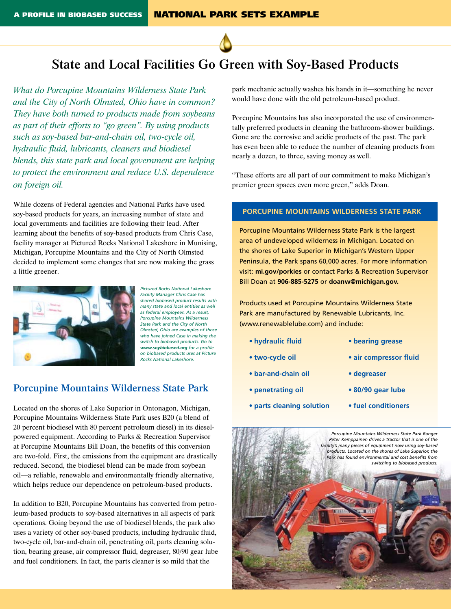

# **State and Local Facilities Go Green with Soy-Based Products**

*What do Porcupine Mountains Wilderness State Park and the City of North Olmsted, Ohio have in common? They have both turned to products made from soybeans as part of their efforts to "go green". By using products such as soy-based bar-and-chain oil, two-cycle oil, hydraulic fluid, lubricants, cleaners and biodiesel blends, this state park and local government are helping to protect the environment and reduce U.S. dependence on foreign oil.* 

While dozens of Federal agencies and National Parks have used soy-based products for years, an increasing number of state and local governments and facilities are following their lead. After learning about the benefits of soy-based products from Chris Case, facility manager at Pictured Rocks National Lakeshore in Munising, Michigan, Porcupine Mountains and the City of North Olmsted decided to implement some changes that are now making the grass a little greener.



*Pictured Rocks National Lakeshore Facility Manager Chris Case has shared biobased product results with many state and local entities as well as federal employees. As a result, Porcupine Mountains Wilderness State Park and the City of North Olmsted, Ohio are examples of those who have joined Case in making the switch to biobased products. Go to www.soybiobased.org for a profile on biobased products uses at Picture Rocks National Lakeshore.*

## **Porcupine Mountains Wilderness State Park**

Located on the shores of Lake Superior in Ontonagon, Michigan, Porcupine Mountains Wilderness State Park uses B20 (a blend of 20 percent biodiesel with 80 percent petroleum diesel) in its dieselpowered equipment. According to Parks & Recreation Supervisor at Porcupine Mountains Bill Doan, the benefits of this conversion are two-fold. First, the emissions from the equipment are drastically reduced. Second, the biodiesel blend can be made from soybean oil—a reliable, renewable and environmentally friendly alternative, which helps reduce our dependence on petroleum-based products.

In addition to B20, Porcupine Mountains has converted from petroleum-based products to soy-based alternatives in all aspects of park operations. Going beyond the use of biodiesel blends, the park also uses a variety of other soy-based products, including hydraulic fluid, two-cycle oil, bar-and-chain oil, penetrating oil, parts cleaning solution, bearing grease, air compressor fluid, degreaser, 80/90 gear lube and fuel conditioners. In fact, the parts cleaner is so mild that the

park mechanic actually washes his hands in it—something he never would have done with the old petroleum-based product.

Porcupine Mountains has also incorporated the use of environmentally preferred products in cleaning the bathroom-shower buildings. Gone are the corrosive and acidic products of the past. The park has even been able to reduce the number of cleaning products from nearly a dozen, to three, saving money as well.

"These efforts are all part of our commitment to make Michigan's premier green spaces even more green," adds Doan.

#### **Porcupine Mountains Wilderness State Park**

Porcupine Mountains Wilderness State Park is the largest area of undeveloped wilderness in Michigan. Located on the shores of Lake Superior in Michigan's Western Upper Peninsula, the Park spans 60,000 acres. For more information visit: **mi.gov/porkies** or contact Parks & Recreation Supervisor Bill Doan at **906-885-5275** or **doanw@michigan.gov.**

Products used at Porcupine Mountains Wilderness State Park are manufactured by Renewable Lubricants, Inc. (www.renewablelube.com) and include:

- **• hydraulic fluid**
- **• two-cycle oil**
- **• bar-and-chain oil**
- **• penetrating oil**
- **• parts cleaning solution**
- **• bearing grease**
- **• air compressor fluid**
- **• degreaser**
- **• 80/90 gear lube**
- **• fuel conditioners**